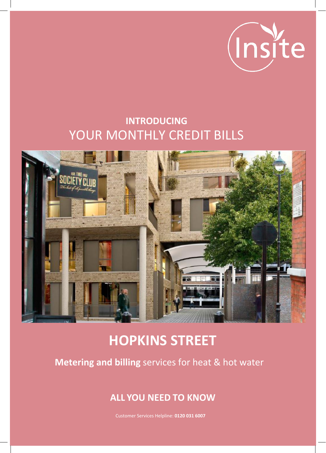

### **INTRODUCING** YOUR MONTHLY CREDIT BILLS



# **HOPKINS STREET**

**Metering and billing** services for heat & hot water

### **ALL YOU NEED TO KNOW**

Customer Services Helpline: **0120 031 6007**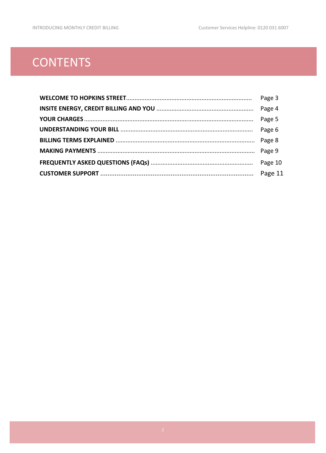### **CONTENTS**

| Page 3 |
|--------|
|        |
|        |
| Page 6 |
|        |
|        |
|        |
|        |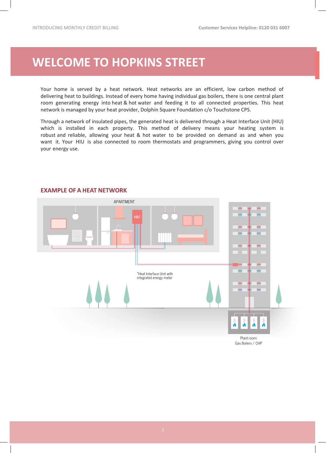### <span id="page-2-0"></span>**WELCOME TO HOPKINS STREET**

Your home is served by a heat network. Heat networks are an efficient, low carbon method of delivering heat to buildings. Instead of every home having individual gas boilers, there is one central plant room generating energy into heat & hot water and feeding it to all connected properties. This heat network is managed by your heat provider, Dolphin Square Charitable Foundation (known as 'Dolphin Living') c/o Touchstone CPS.

Through a network of insulated pipes, the generated heat is delivered through a Heat Interface Unit (HIU) which is installed in each property. This method of delivery means your heating system is robust and reliable, allowing your heat & hot water to be provided on demand as and when you want it. Your HIU is also connected to room thermostats and programmers, giving you control over your energy use.

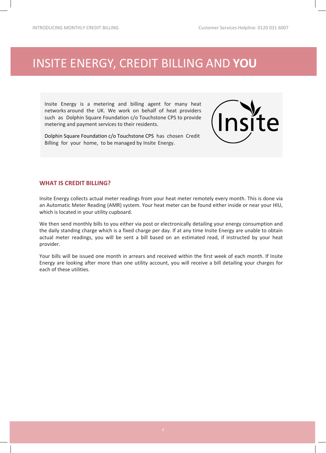### <span id="page-3-0"></span>[INSITE ENERGY, CREDIT BILLING](#page-2-0) AND **YOU**

Insite Energy is a metering and billing agent for many heat networks around the UK. We work on behalf of heat providers such as Dolphin Living to provide metering and payment services to their residents.

Dolphin Living have chosen Credit Billing for your home, to be managed by Insite Energy.



#### **WHAT IS CREDIT BILLING?**

Insite Energy collects actual meter readings from your heat meter remotely every month. This is done via an Automatic Meter Reading (AMR) system. Your heat meter can be found either inside or near your HIU, which is located in your utility cupboard.

We then send monthly bills to you either via post or electronically detailing your energy consumption and the daily standing charge which is a fixed charge per day. If at any time Insite Energy are unable to obtain actual meter readings, you will be sent a bill based on an estimated read, if instructed by your heat provider.

Your bills will be issued one month in arrears and received within the first week of each month. If Insite Energy are looking after more than one utility account, you will receive a bill detailing your charges for each of these utilities.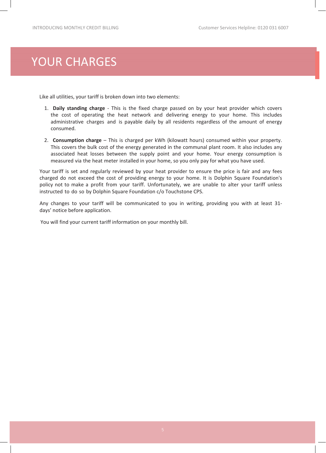### [YOUR CHARGES](#page-3-0)

Like all utilities, your tariff is broken down into two elements:

- 1. **Daily standing charge** This is the fixed charge passed on by your heat provider which covers the cost of operating the heat network and delivering energy to your home. This includes administrative charges and is payable daily by all residents regardless of the amount of energy consumed.
- 2. **Consumption charge**  This is charged per kWh (kilowatt hours) consumed within your property. This covers the bulk cost of the energy generated in the communal plant room. It also includes any associated heat losses between the supply point and your home. Your energy consumption is measured via the heat meter installed in your home, so you only pay for what you have used.

Your tariff is set and regularly reviewed by your heat provider to ensure the price is fair and any fees charged do not exceed the cost of providing energy to your home. It is Dolphin Living's policy not to make a profit from your tariff. Unfortunately, we are unable to alter your tariff unless instructed to do so by Dolphin Living c/o Touchstone CPS.

Any changes to your tariff will be communicated to you in writing, providing you with at least 31 days' notice before application.

You will find your current tariff information on your monthly bill.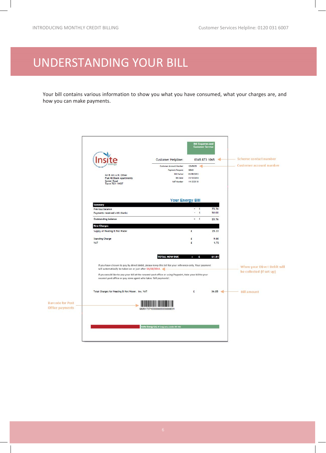## <span id="page-5-0"></span>UNDERSTANDING YOUR BILL

Your bill contains various information to show you what you have consumed, what your charges are, and how you can make payments.

|                                            | Mr & Mrs A.N. Other<br>Flat 48 Blank Apartments<br>Somer Road<br>Town TO1 1WOT                                                                                                                                                                                                                                                                                                                      | <b>Customer Helpline:</b><br>Customer Account Number<br><b>Payment Request</b><br><b>Bill Period</b><br><b>Bill Date</b><br>VAT Number | <b>Bill Enquiries and</b><br><b>Customer Service</b><br>0345 873 1065<br>12345678<br>30043<br>01/09/2013<br>31/10/2014<br>111 2222 33 | -di            | Scheme contact number<br><b>Customer account number</b> |
|--------------------------------------------|-----------------------------------------------------------------------------------------------------------------------------------------------------------------------------------------------------------------------------------------------------------------------------------------------------------------------------------------------------------------------------------------------------|----------------------------------------------------------------------------------------------------------------------------------------|---------------------------------------------------------------------------------------------------------------------------------------|----------------|---------------------------------------------------------|
|                                            | Summary                                                                                                                                                                                                                                                                                                                                                                                             |                                                                                                                                        |                                                                                                                                       |                |                                                         |
|                                            | Previous balance<br>Payments received with thanks                                                                                                                                                                                                                                                                                                                                                   |                                                                                                                                        | $-1$<br>$\cdot$ £                                                                                                                     | 75.76<br>50.00 |                                                         |
|                                            | Outstanding balance                                                                                                                                                                                                                                                                                                                                                                                 |                                                                                                                                        | $-1$                                                                                                                                  | 25.76          |                                                         |
|                                            | <b>New Charges</b>                                                                                                                                                                                                                                                                                                                                                                                  |                                                                                                                                        |                                                                                                                                       |                |                                                         |
|                                            | Supply of Heating & Hot Water                                                                                                                                                                                                                                                                                                                                                                       |                                                                                                                                        | £                                                                                                                                     | 25.33          |                                                         |
|                                            | <b>Standing Charge</b>                                                                                                                                                                                                                                                                                                                                                                              |                                                                                                                                        | £                                                                                                                                     | 9.00           |                                                         |
|                                            | VAT                                                                                                                                                                                                                                                                                                                                                                                                 |                                                                                                                                        | £                                                                                                                                     | 1.72           |                                                         |
|                                            | <b>TOTAL NOW DUE</b><br>61.81<br>£<br>$\equiv$<br>If you have chosen to pay by direct debit, please keep this bill for your reference only. Your payment<br>will automatically be taken on or just after 14/11/2014.<br>If you would like to pay your bill at the nearest post office or using Paypoint, take your bill to your<br>nearest post office or pay zone agent who takes 'bill payments'. |                                                                                                                                        |                                                                                                                                       |                | When your Direct Debit will<br>be collected (if set up) |
|                                            | Total Charges for Heating & Hot Water, inc. VAT                                                                                                                                                                                                                                                                                                                                                     |                                                                                                                                        | £                                                                                                                                     | $36.05 =$      | <b>Bill amount</b>                                      |
| <b>Barcode for Post</b><br>Office payments | 982617271000000000000000001                                                                                                                                                                                                                                                                                                                                                                         |                                                                                                                                        |                                                                                                                                       |                |                                                         |
|                                            |                                                                                                                                                                                                                                                                                                                                                                                                     | Insite Energy Ltd, 64 larg Lane, London SEI 4807                                                                                       |                                                                                                                                       |                |                                                         |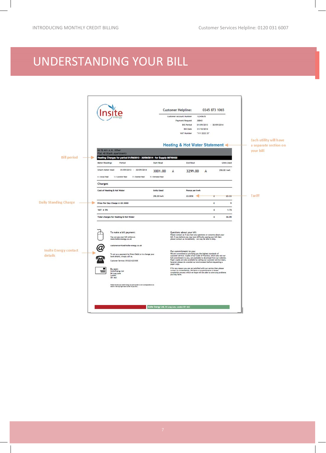### <span id="page-6-0"></span>UNDERSTANDING YOUR BILL

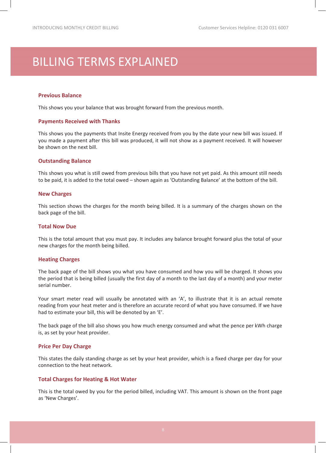### BILLING TERMS EXPLAINED

#### **Previous Balance**

This shows you your balance that was brought forward from the previous month.

#### **Payments Received with Thanks**

This shows you the payments that Insite Energy received from you by the date your new bill was issued. If you made a payment after this bill was produced, it will not show as a payment received. It will however be shown on the next bill.

#### **Outstanding Balance**

This shows you what is still owed from previous bills that you have not yet paid. As this amount still needs to be paid, it is added to the total owed – shown again as 'Outstanding Balance' at the bottom of the bill.

#### **New Charges**

This section shows the charges for the month being billed. It is a summary of the charges shown on the back page of the bill.

#### **Total Now Due**

This is the total amount that you must pay. It includes any balance brought forward plus the total of your new charges for the month being billed.

#### **Heating Charges**

The back page of the bill shows you what you have consumed and how you will be charged. It shows you the period that is being billed (usually the first day of a month to the last day of a month) and your meter serial number.

Your smart meter read will usually be annotated with an 'A', to illustrate that it is an actual remote reading from your heat meter and is therefore an accurate record of what you have consumed. If we have had to estimate your bill, this will be denoted by an 'E'.

The back page of the bill also shows you how much energy consumed and what the pence per kWh charge is, as set by your heat provider.

#### **Price Per Day Charge**

This states the daily standing charge as set by your heat provider, which is a fixed charge per day for your connection to the heat network.

#### **Total Charges for Heating & Hot Water**

This is the total owed by you for the period billed, including VAT. This amount is shown on the front page as 'New Charges'.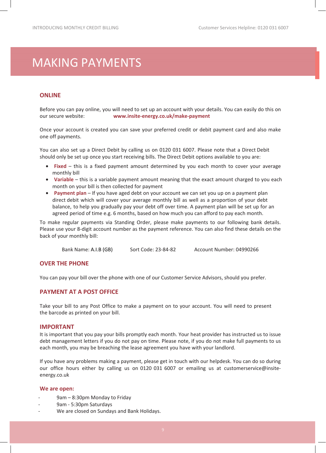### <span id="page-8-0"></span>MAKING PAYMENTS

#### **ONLINE**

Before you can pay online, you will need to set up an account with your details. You can easily do this on our secure website: **www.insite-energy.co.uk/make-payment** 

Once your account is created you can save your preferred credit or debit payment card and also make one off payments.

You can also set up a Direct Debit by calling us on 0120 031 6007. Please note that a Direct Debit should only be set up once you start receiving bills. The Direct Debit options available to you are:

- **Fixed** this is a fixed payment amount determined by you each month to cover your average monthly bill
- **Variable** this is a variable payment amount meaning that the exact amount charged to you each month on your bill is then collected for payment
- **Payment plan** If you have aged debt on your account we can set you up on a payment plan direct debit which will cover your average monthly bill as well as a proportion of your debt balance, to help you gradually pay your debt off over time. A payment plan will be set up for an agreed period of time e.g. 6 months, based on how much you can afford to pay each month.

To make regular payments via Standing Order, please make payments to our following bank details. Please use your 8-digit account number as the payment reference. You can also find these details on the back of your monthly bill:

Bank Name: A.I.B (GB) Sort Code: 23-84-82 Account Number: 04990266

#### **OVER THE PHONE**

You can pay your bill over the phone with one of our Customer Service Advisors, should you prefer.

#### **PAYMENT AT A POST OFFICE**

Take your bill to any Post Office to make a payment on to your account. You will need to present the barcode as printed on your bill.

#### **IMPORTANT**

It is important that you pay your bills promptly each month. Your heat provider has instructed us to issue debt management letters if you do not pay on time. Please note, if you do not make full payments to us each month, you may be breaching the lease agreement you have with your landlord.

If you have any problems making a payment, please get in touch with our helpdesk. You can do so during our office hours either by calling us on 0120 031 6007 or emailing us at customerservice@insiteenergy.co.uk

#### **We are open:**

- 9am 8:30pm Monday to Friday
- 9am 5:30pm Saturdays
- We are closed on Sundays and Bank Holidays.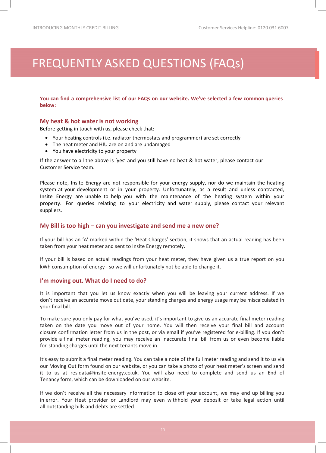## <span id="page-9-0"></span>FREQUENTLY ASKED QUESTIONS (FAQs)

**You can find a comprehensive list of our FAQs on our website. We've selected a few common queries below:**

#### **My heat & hot water is not working**

Before getting in touch with us, please check that:

- Your heating controls (i.e. radiator thermostats and programmer) are set correctly
- The heat meter and HIU are on and are undamaged
- You have electricity to your property

If the answer to all the above is 'yes' and you still have no heat & hot water, please contact our Customer Service team.

Please note, Insite Energy are not responsible for your energy supply, nor do we maintain the heating system at your development or in your property. Unfortunately, as a result and unless contracted, Insite Energy are unable to help you with the maintenance of the heating system within your property. For queries relating to your electricity and water supply, please contact your relevant suppliers.

#### **My Bill is too high – can you investigate and send me a new one?**

If your bill has an 'A' marked within the 'Heat Charges' section, it shows that an actual reading has been taken from your heat meter and sent to Insite Energy remotely.

If your bill is based on actual readings from your heat meter, they have given us a true report on you kWh consumption of energy - so we will unfortunately not be able to change it.

#### **I'm moving out. What do I need to do?**

It is important that you let us know exactly when you will be leaving your current address. If we don't receive an accurate move out date, your standing charges and energy usage may be miscalculated in your final bill.

To make sure you only pay for what you've used, it's important to give us an accurate final meter reading taken on the date you move out of your home. You will then receive your final bill and account closure confirmation letter from us in the post, or via email if you've registered for e-billing. If you don't provide a final meter reading, you may receive an inaccurate final bill from us or even become liable for standing charges until the next tenants move in.

It's easy to submit a final meter reading. You can take a note of the full meter reading and send it to us via our Moving Out form found on our website, or you can take a photo of your heat meter's screen and send it to us at residata@insite-energy.co.uk. You will also need to complete and send us an End of Tenancy form, which can be downloaded on our website.

If we don't receive all the necessary information to close off your account, we may end up billing you in error. Your Heat provider or Landlord may even withhold your deposit or take legal action until all outstanding bills and debts are settled.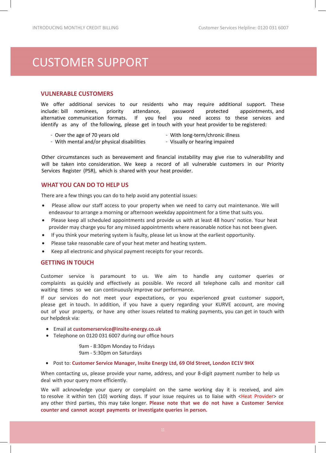### <span id="page-10-0"></span>CUSTOMER SUPPORT

#### **VULNERABLE CUSTOMERS**

We offer additional services to our residents who may require additional support. These include: bill nominees, priority attendance, password protected appointments, and alternative communication formats. If you feel you need access to these services and identify as any of the following, please get in touch with your heat provider to be registered:

- Over the age of 70 years old

- With long-term/chronic illness
- With mental and/or physical disabilities
- Visually or hearing impaired

Other circumstances such as bereavement and financial instability may give rise to vulnerability and will be taken into consideration. We keep a record of all vulnerable customers in our Priority Services Register (PSR), which is shared with your heat provider.

#### **WHAT YOU CAN DO TO HELP US**

There are a few things you can do to help avoid any potential issues:

- Please allow our staff access to your property when we need to carry out maintenance. We will endeavour to arrange a morning or afternoon weekday appointment for a time that suits you.
- Please keep all scheduled appointments and provide us with at least 48 hours' notice. Your heat provider may charge you for any missed appointments where reasonable notice has not been given.
- If you think your metering system is faulty, please let us know at the earliest opportunity.
- Please take reasonable care of your heat meter and heating system.
- Keep all electronic and physical payment receipts for your records.

#### **GETTING IN TOUCH**

Customer service is paramount to us. We aim to handle any customer queries or complaints as quickly and effectively as possible. We record all telephone calls and monitor call waiting times so we can continuously improve our performance.

If our services do not meet your expectations, or you experienced great customer support, please get in touch. In addition, if you have a query regarding your KURVE account, are moving out of your property, or have any other issues related to making payments, you can get in touch with our helpdesk via:

- Email at **customerservice@insite-energy.co.uk**
- Telephone on 0120 031 6007 during our office hours

9am - 8:30pm Monday to Fridays 9am - 5:30pm on Saturdays

• Post to: **Customer Service Manager, Insite Energy Ltd, 69 Old Street, London EC1V 9HX**

When contacting us, please provide your name, address, and your 8-digit payment number to help us deal with your query more efficiently.

We will acknowledge your query or complaint on the same working day it is received, and aim to resolve it within ten (10) working days. If your issue requires us to liaise with <Heat Provider> or any other third parties, this may take longer. **Please note that we do not have a Customer Service counter and cannot accept payments or investigate queries in person.**